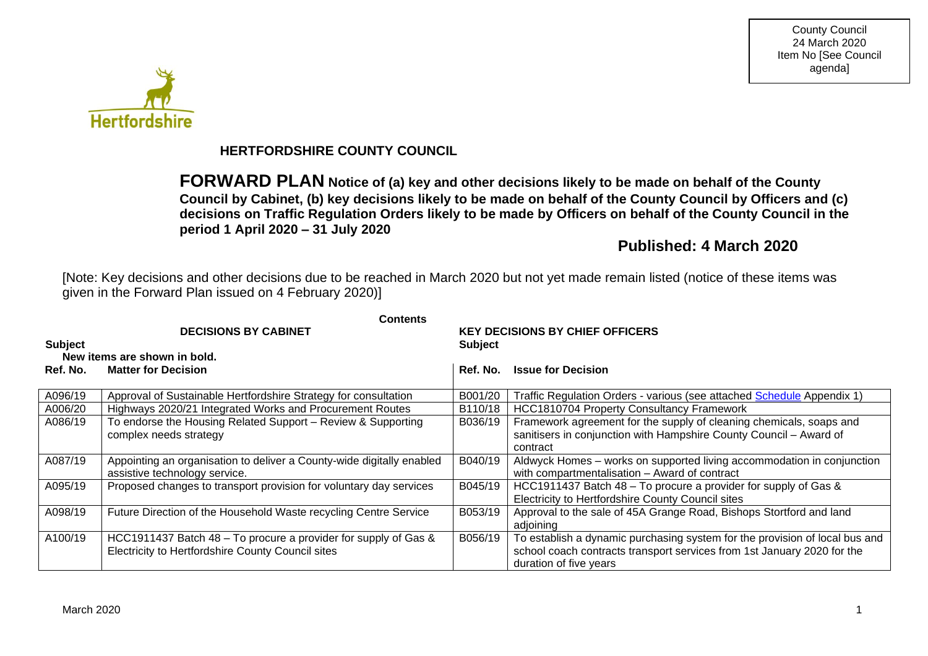

# **HERTFORDSHIRE COUNTY COUNCIL**

**FORWARD PLAN Notice of (a) key and other decisions likely to be made on behalf of the County Council by Cabinet, (b) key decisions likely to be made on behalf of the County Council by Officers and (c) decisions on Traffic Regulation Orders likely to be made by Officers on behalf of the County Council in the period 1 April 2020 – 31 July 2020**

# **Published: 4 March 2020**

[Note: Key decisions and other decisions due to be reached in March 2020 but not yet made remain listed (notice of these items was given in the Forward Plan issued on 4 February 2020)]

|                | <b>Contents</b>                                                       |                                        |                                                                             |  |  |  |
|----------------|-----------------------------------------------------------------------|----------------------------------------|-----------------------------------------------------------------------------|--|--|--|
|                | <b>DECISIONS BY CABINET</b>                                           | <b>KEY DECISIONS BY CHIEF OFFICERS</b> |                                                                             |  |  |  |
| <b>Subject</b> |                                                                       | <b>Subject</b>                         |                                                                             |  |  |  |
|                | New items are shown in bold.                                          |                                        |                                                                             |  |  |  |
| Ref. No.       | <b>Matter for Decision</b>                                            | Ref. No.                               | <b>Issue for Decision</b>                                                   |  |  |  |
|                |                                                                       |                                        |                                                                             |  |  |  |
| A096/19        | Approval of Sustainable Hertfordshire Strategy for consultation       | B001/20                                | Traffic Regulation Orders - various (see attached Schedule Appendix 1)      |  |  |  |
| A006/20        | Highways 2020/21 Integrated Works and Procurement Routes              | B110/18                                | <b>HCC1810704 Property Consultancy Framework</b>                            |  |  |  |
| A086/19        | To endorse the Housing Related Support - Review & Supporting          | B036/19                                | Framework agreement for the supply of cleaning chemicals, soaps and         |  |  |  |
|                | complex needs strategy                                                |                                        | sanitisers in conjunction with Hampshire County Council - Award of          |  |  |  |
|                |                                                                       |                                        | contract                                                                    |  |  |  |
| A087/19        | Appointing an organisation to deliver a County-wide digitally enabled | B040/19                                | Aldwyck Homes - works on supported living accommodation in conjunction      |  |  |  |
|                | assistive technology service.                                         |                                        | with compartmentalisation - Award of contract                               |  |  |  |
| A095/19        | Proposed changes to transport provision for voluntary day services    | B045/19                                | HCC1911437 Batch 48 – To procure a provider for supply of Gas &             |  |  |  |
|                |                                                                       |                                        | Electricity to Hertfordshire County Council sites                           |  |  |  |
| A098/19        | Future Direction of the Household Waste recycling Centre Service      | B053/19                                | Approval to the sale of 45A Grange Road, Bishops Stortford and land         |  |  |  |
|                |                                                                       |                                        | adjoining                                                                   |  |  |  |
| A100/19        | HCC1911437 Batch 48 – To procure a provider for supply of Gas &       | B056/19                                | To establish a dynamic purchasing system for the provision of local bus and |  |  |  |
|                | Electricity to Hertfordshire County Council sites                     |                                        | school coach contracts transport services from 1st January 2020 for the     |  |  |  |
|                |                                                                       |                                        | duration of five years                                                      |  |  |  |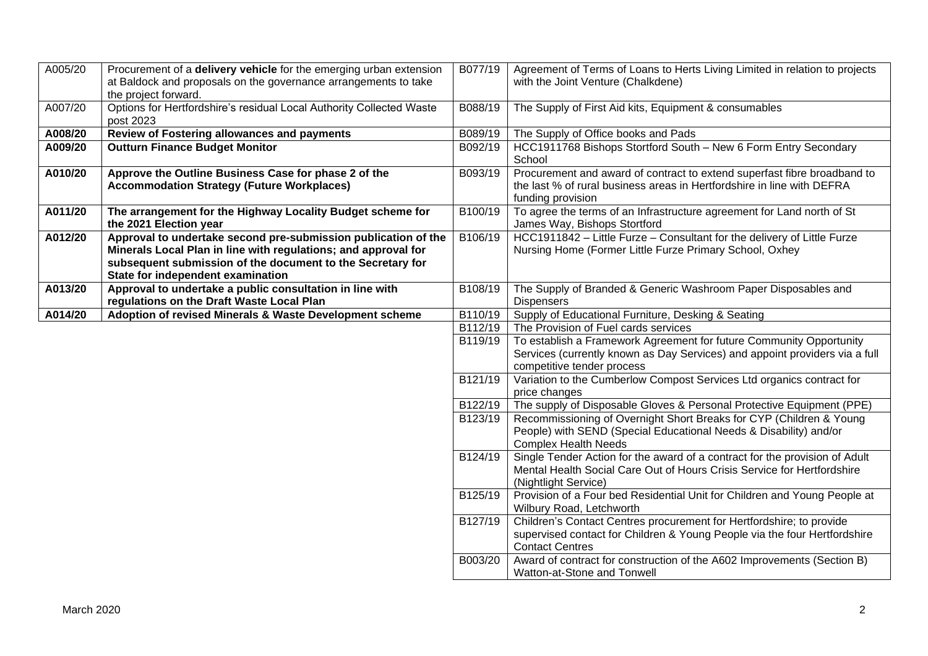| A005/20 | Procurement of a delivery vehicle for the emerging urban extension                                    | B077/19 | Agreement of Terms of Loans to Herts Living Limited in relation to projects                           |
|---------|-------------------------------------------------------------------------------------------------------|---------|-------------------------------------------------------------------------------------------------------|
|         | at Baldock and proposals on the governance arrangements to take                                       |         | with the Joint Venture (Chalkdene)                                                                    |
|         | the project forward.                                                                                  |         |                                                                                                       |
| A007/20 | Options for Hertfordshire's residual Local Authority Collected Waste<br>post 2023                     | B088/19 | The Supply of First Aid kits, Equipment & consumables                                                 |
| A008/20 | Review of Fostering allowances and payments                                                           | B089/19 | The Supply of Office books and Pads                                                                   |
| A009/20 | <b>Outturn Finance Budget Monitor</b>                                                                 | B092/19 | HCC1911768 Bishops Stortford South - New 6 Form Entry Secondary<br>School                             |
| A010/20 | Approve the Outline Business Case for phase 2 of the                                                  | B093/19 | Procurement and award of contract to extend superfast fibre broadband to                              |
|         | <b>Accommodation Strategy (Future Workplaces)</b>                                                     |         | the last % of rural business areas in Hertfordshire in line with DEFRA                                |
|         |                                                                                                       |         | funding provision                                                                                     |
| A011/20 | The arrangement for the Highway Locality Budget scheme for                                            | B100/19 | To agree the terms of an Infrastructure agreement for Land north of St                                |
|         | the 2021 Election year                                                                                |         | James Way, Bishops Stortford                                                                          |
| A012/20 | Approval to undertake second pre-submission publication of the                                        | B106/19 | HCC1911842 - Little Furze - Consultant for the delivery of Little Furze                               |
|         | Minerals Local Plan in line with regulations; and approval for                                        |         | Nursing Home (Former Little Furze Primary School, Oxhey                                               |
|         | subsequent submission of the document to the Secretary for                                            |         |                                                                                                       |
| A013/20 | State for independent examination                                                                     | B108/19 |                                                                                                       |
|         | Approval to undertake a public consultation in line with<br>regulations on the Draft Waste Local Plan |         | The Supply of Branded & Generic Washroom Paper Disposables and<br><b>Dispensers</b>                   |
| A014/20 | Adoption of revised Minerals & Waste Development scheme                                               | B110/19 | Supply of Educational Furniture, Desking & Seating                                                    |
|         |                                                                                                       | B112/19 | The Provision of Fuel cards services                                                                  |
|         |                                                                                                       | B119/19 | To establish a Framework Agreement for future Community Opportunity                                   |
|         |                                                                                                       |         | Services (currently known as Day Services) and appoint providers via a full                           |
|         |                                                                                                       |         | competitive tender process                                                                            |
|         |                                                                                                       | B121/19 | Variation to the Cumberlow Compost Services Ltd organics contract for                                 |
|         |                                                                                                       |         | price changes                                                                                         |
|         |                                                                                                       | B122/19 | The supply of Disposable Gloves & Personal Protective Equipment (PPE)                                 |
|         |                                                                                                       | B123/19 | Recommissioning of Overnight Short Breaks for CYP (Children & Young                                   |
|         |                                                                                                       |         | People) with SEND (Special Educational Needs & Disability) and/or                                     |
|         |                                                                                                       |         | <b>Complex Health Needs</b>                                                                           |
|         |                                                                                                       | B124/19 | Single Tender Action for the award of a contract for the provision of Adult                           |
|         |                                                                                                       |         | Mental Health Social Care Out of Hours Crisis Service for Hertfordshire                               |
|         |                                                                                                       |         | (Nightlight Service)                                                                                  |
|         |                                                                                                       | B125/19 | Provision of a Four bed Residential Unit for Children and Young People at<br>Wilbury Road, Letchworth |
|         |                                                                                                       | B127/19 | Children's Contact Centres procurement for Hertfordshire; to provide                                  |
|         |                                                                                                       |         | supervised contact for Children & Young People via the four Hertfordshire                             |
|         |                                                                                                       |         | <b>Contact Centres</b>                                                                                |
|         |                                                                                                       | B003/20 | Award of contract for construction of the A602 Improvements (Section B)                               |
|         |                                                                                                       |         | Watton-at-Stone and Tonwell                                                                           |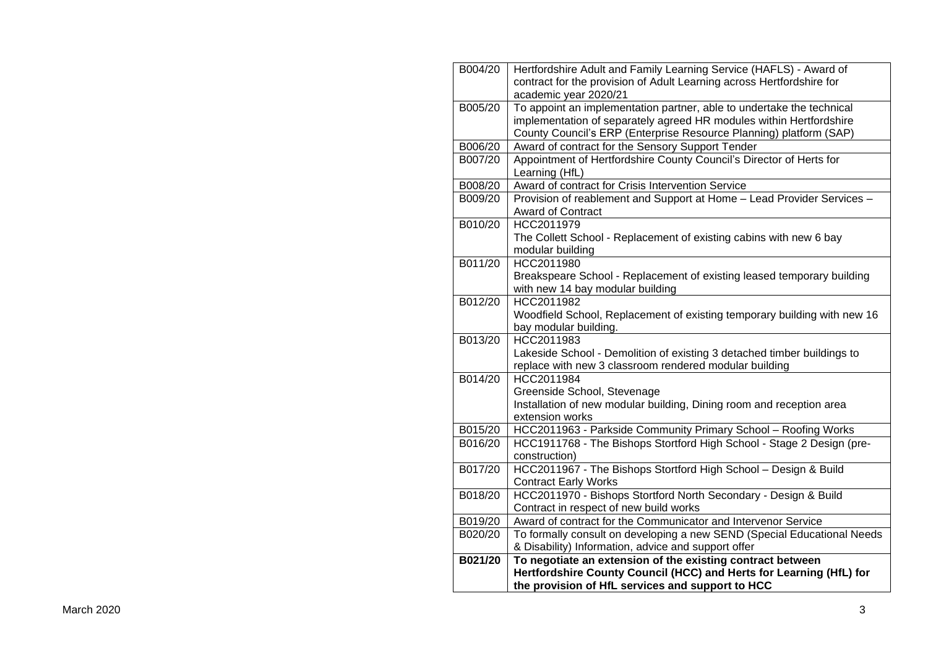| B004/20 | Hertfordshire Adult and Family Learning Service (HAFLS) - Award of       |
|---------|--------------------------------------------------------------------------|
|         | contract for the provision of Adult Learning across Hertfordshire for    |
|         | academic year 2020/21                                                    |
| B005/20 | To appoint an implementation partner, able to undertake the technical    |
|         | implementation of separately agreed HR modules within Hertfordshire      |
|         | County Council's ERP (Enterprise Resource Planning) platform (SAP)       |
| B006/20 | Award of contract for the Sensory Support Tender                         |
| B007/20 | Appointment of Hertfordshire County Council's Director of Herts for      |
|         | Learning (HfL)                                                           |
| B008/20 | Award of contract for Crisis Intervention Service                        |
| B009/20 | Provision of reablement and Support at Home - Lead Provider Services -   |
|         | <b>Award of Contract</b>                                                 |
| B010/20 | HCC2011979                                                               |
|         | The Collett School - Replacement of existing cabins with new 6 bay       |
|         | modular building                                                         |
| B011/20 | HCC2011980                                                               |
|         | Breakspeare School - Replacement of existing leased temporary building   |
|         | with new 14 bay modular building                                         |
| B012/20 | HCC2011982                                                               |
|         | Woodfield School, Replacement of existing temporary building with new 16 |
|         | bay modular building.                                                    |
| B013/20 | HCC2011983                                                               |
|         | Lakeside School - Demolition of existing 3 detached timber buildings to  |
|         | replace with new 3 classroom rendered modular building                   |
| B014/20 | HCC2011984                                                               |
|         | Greenside School, Stevenage                                              |
|         | Installation of new modular building, Dining room and reception area     |
|         | extension works                                                          |
| B015/20 | HCC2011963 - Parkside Community Primary School - Roofing Works           |
| B016/20 | HCC1911768 - The Bishops Stortford High School - Stage 2 Design (pre-    |
|         | construction)                                                            |
| B017/20 | HCC2011967 - The Bishops Stortford High School - Design & Build          |
|         | <b>Contract Early Works</b>                                              |
| B018/20 | HCC2011970 - Bishops Stortford North Secondary - Design & Build          |
|         | Contract in respect of new build works                                   |
| B019/20 | Award of contract for the Communicator and Intervenor Service            |
| B020/20 | To formally consult on developing a new SEND (Special Educational Needs  |
|         | & Disability) Information, advice and support offer                      |
| B021/20 | To negotiate an extension of the existing contract between               |
|         | Hertfordshire County Council (HCC) and Herts for Learning (HfL) for      |
|         | the provision of HfL services and support to HCC                         |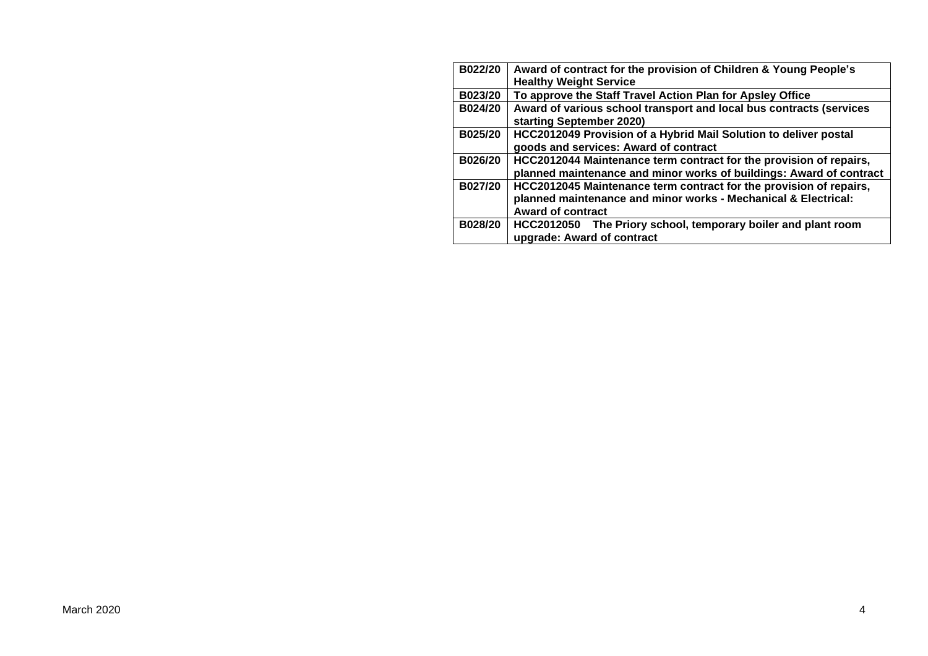| B022/20 | Award of contract for the provision of Children & Young People's                                                                                                 |
|---------|------------------------------------------------------------------------------------------------------------------------------------------------------------------|
|         | <b>Healthy Weight Service</b>                                                                                                                                    |
| B023/20 | To approve the Staff Travel Action Plan for Apsley Office                                                                                                        |
| B024/20 | Award of various school transport and local bus contracts (services<br>starting September 2020)                                                                  |
| B025/20 | HCC2012049 Provision of a Hybrid Mail Solution to deliver postal<br>goods and services: Award of contract                                                        |
| B026/20 | HCC2012044 Maintenance term contract for the provision of repairs,<br>planned maintenance and minor works of buildings: Award of contract                        |
| B027/20 | HCC2012045 Maintenance term contract for the provision of repairs,<br>planned maintenance and minor works - Mechanical & Electrical:<br><b>Award of contract</b> |
| B028/20 | HCC2012050 The Priory school, temporary boiler and plant room<br>upgrade: Award of contract                                                                      |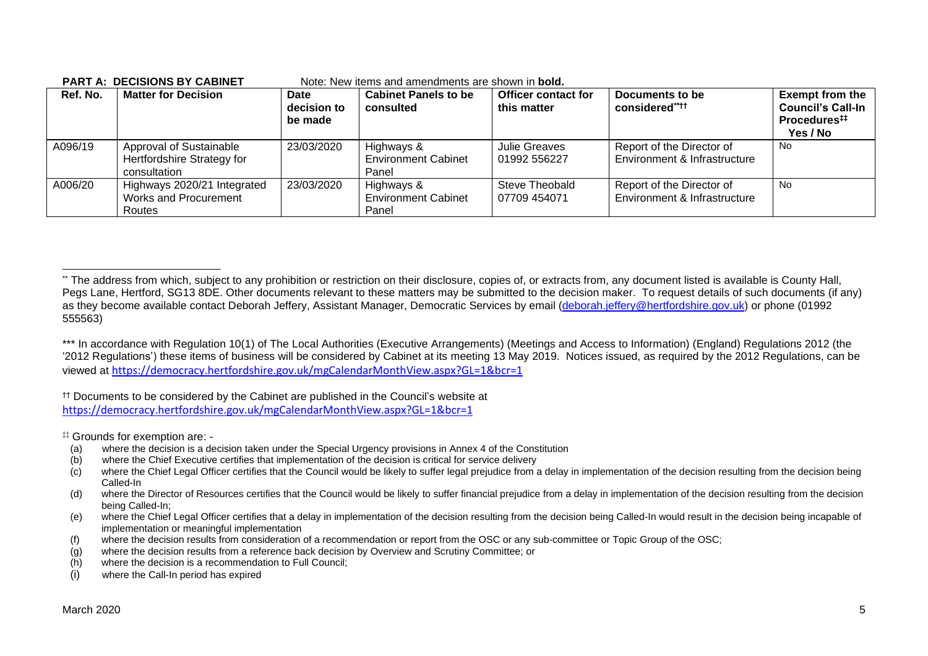| Ref. No. | <b>Matter for Decision</b>                                            | Date<br>decision to<br>be made | <b>Cabinet Panels to be</b><br>consulted          | <b>Officer contact for</b><br>this matter | Documents to be<br>considered****                         | <b>Exempt from the</b><br><b>Council's Call-In</b><br>Procedures <sup>##</sup><br>Yes / No |
|----------|-----------------------------------------------------------------------|--------------------------------|---------------------------------------------------|-------------------------------------------|-----------------------------------------------------------|--------------------------------------------------------------------------------------------|
| A096/19  | Approval of Sustainable<br>Hertfordshire Strategy for<br>consultation | 23/03/2020                     | Highways &<br><b>Environment Cabinet</b><br>Panel | Julie Greaves<br>01992 556227             | Report of the Director of<br>Environment & Infrastructure | No                                                                                         |
| A006/20  | Highways 2020/21 Integrated<br>Works and Procurement<br>Routes        | 23/03/2020                     | Highways &<br><b>Environment Cabinet</b><br>Panel | Steve Theobald<br>07709 454071            | Report of the Director of<br>Environment & Infrastructure | <b>No</b>                                                                                  |

#### **PART A: DECISIONS BY CABINET** Note: New items and amendments are shown in **bold.**

†† Documents to be considered by the Cabinet are published in the Council's website at <https://democracy.hertfordshire.gov.uk/mgCalendarMonthView.aspx?GL=1&bcr=1>

‡‡ Grounds for exemption are: -

- (a) where the decision is a decision taken under the Special Urgency provisions in Annex 4 of the Constitution
- (b) where the Chief Executive certifies that implementation of the decision is critical for service delivery
- (c) where the Chief Legal Officer certifies that the Council would be likely to suffer legal prejudice from a delay in implementation of the decision resulting from the decision being Called-In
- (d) where the Director of Resources certifies that the Council would be likely to suffer financial prejudice from a delay in implementation of the decision resulting from the decision being Called-In;
- (e) where the Chief Legal Officer certifies that a delay in implementation of the decision resulting from the decision being Called-In would result in the decision being incapable of implementation or meaningful implementation
- (f) where the decision results from consideration of a recommendation or report from the OSC or any sub-committee or Topic Group of the OSC;
- (g) where the decision results from a reference back decision by Overview and Scrutiny Committee; or
- (h) where the decision is a recommendation to Full Council;
- (i) where the Call-In period has expired

<sup>\*\*</sup> The address from which, subject to any prohibition or restriction on their disclosure, copies of, or extracts from, any document listed is available is County Hall, Pegs Lane, Hertford, SG13 8DE. Other documents relevant to these matters may be submitted to the decision maker. To request details of such documents (if any) as they become available contact Deborah Jeffery, Assistant Manager, Democratic Services by email [\(deborah.jeffery@hertfordshire.gov.uk\)](mailto:deborah.jeffery@hertfordshire.gov.uk) or phone (01992 555563)

<sup>\*\*\*</sup> In accordance with Regulation 10(1) of The Local Authorities (Executive Arrangements) (Meetings and Access to Information) (England) Regulations 2012 (the '2012 Regulations') these items of business will be considered by Cabinet at its meeting 13 May 2019. Notices issued, as required by the 2012 Regulations, can be viewed at <https://democracy.hertfordshire.gov.uk/mgCalendarMonthView.aspx?GL=1&bcr=1>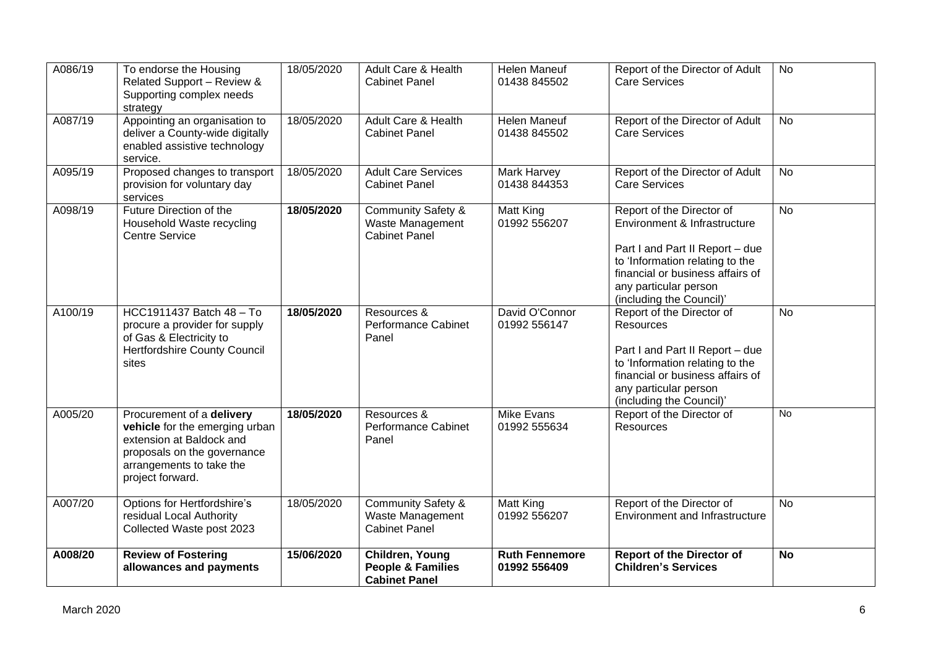| A086/19 | To endorse the Housing<br>Related Support - Review &<br>Supporting complex needs<br>strategy                                                                           | 18/05/2020 | Adult Care & Health<br><b>Cabinet Panel</b>                               | <b>Helen Maneuf</b><br>01438 845502   | Report of the Director of Adult<br><b>Care Services</b>                                                                                                                                                                  | <b>No</b>      |
|---------|------------------------------------------------------------------------------------------------------------------------------------------------------------------------|------------|---------------------------------------------------------------------------|---------------------------------------|--------------------------------------------------------------------------------------------------------------------------------------------------------------------------------------------------------------------------|----------------|
| A087/19 | Appointing an organisation to<br>deliver a County-wide digitally<br>enabled assistive technology<br>service.                                                           | 18/05/2020 | Adult Care & Health<br><b>Cabinet Panel</b>                               | <b>Helen Maneuf</b><br>01438 845502   | Report of the Director of Adult<br><b>Care Services</b>                                                                                                                                                                  | <b>No</b>      |
| A095/19 | Proposed changes to transport<br>provision for voluntary day<br>services                                                                                               | 18/05/2020 | <b>Adult Care Services</b><br><b>Cabinet Panel</b>                        | <b>Mark Harvey</b><br>01438 844353    | Report of the Director of Adult<br><b>Care Services</b>                                                                                                                                                                  | $\overline{N}$ |
| A098/19 | Future Direction of the<br>Household Waste recycling<br><b>Centre Service</b>                                                                                          | 18/05/2020 | <b>Community Safety &amp;</b><br>Waste Management<br><b>Cabinet Panel</b> | Matt King<br>01992 556207             | Report of the Director of<br>Environment & Infrastructure<br>Part I and Part II Report - due<br>to 'Information relating to the<br>financial or business affairs of<br>any particular person<br>(including the Council)' | <b>No</b>      |
| A100/19 | HCC1911437 Batch 48 - To<br>procure a provider for supply<br>of Gas & Electricity to<br><b>Hertfordshire County Council</b><br>sites                                   | 18/05/2020 | Resources &<br><b>Performance Cabinet</b><br>Panel                        | David O'Connor<br>01992 556147        | Report of the Director of<br>Resources<br>Part I and Part II Report - due<br>to 'Information relating to the<br>financial or business affairs of<br>any particular person<br>(including the Council)'                    | <b>No</b>      |
| A005/20 | Procurement of a delivery<br>vehicle for the emerging urban<br>extension at Baldock and<br>proposals on the governance<br>arrangements to take the<br>project forward. | 18/05/2020 | Resources &<br>Performance Cabinet<br>Panel                               | <b>Mike Evans</b><br>01992 555634     | Report of the Director of<br>Resources                                                                                                                                                                                   | No             |
| A007/20 | Options for Hertfordshire's<br>residual Local Authority<br>Collected Waste post 2023                                                                                   | 18/05/2020 | <b>Community Safety &amp;</b><br>Waste Management<br><b>Cabinet Panel</b> | Matt King<br>01992 556207             | Report of the Director of<br><b>Environment and Infrastructure</b>                                                                                                                                                       | <b>No</b>      |
| A008/20 | <b>Review of Fostering</b><br>allowances and payments                                                                                                                  | 15/06/2020 | Children, Young<br><b>People &amp; Families</b><br><b>Cabinet Panel</b>   | <b>Ruth Fennemore</b><br>01992 556409 | <b>Report of the Director of</b><br><b>Children's Services</b>                                                                                                                                                           | <b>No</b>      |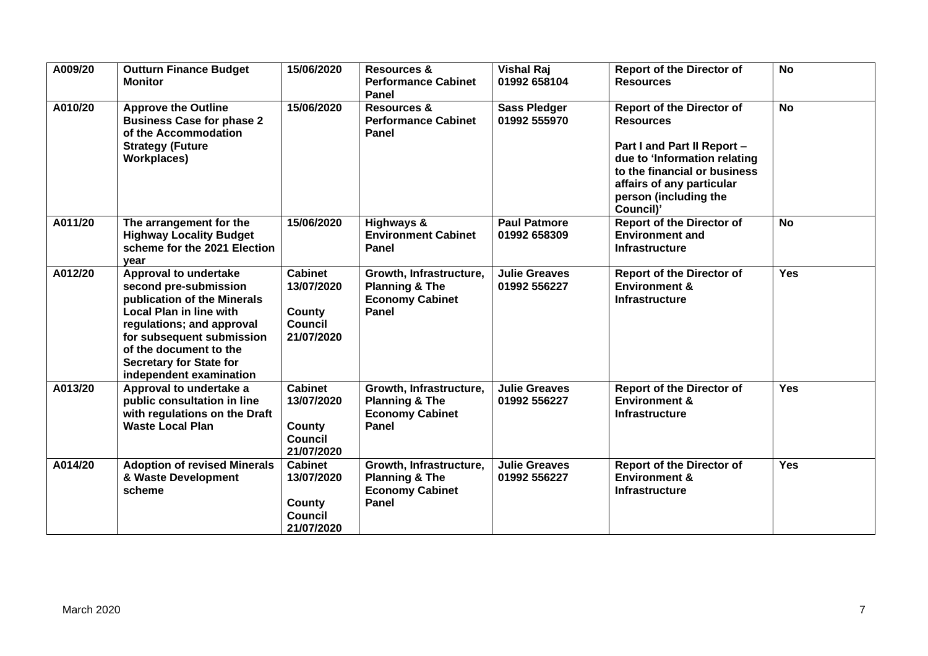| A009/20 | <b>Outturn Finance Budget</b><br><b>Monitor</b>                                                                                                                                                                                                                         | 15/06/2020                                                             | <b>Resources &amp;</b><br><b>Performance Cabinet</b><br>Panel                           | <b>Vishal Raj</b><br>01992 658104    | <b>Report of the Director of</b><br><b>Resources</b>                                                                                                                                                                   | <b>No</b>  |
|---------|-------------------------------------------------------------------------------------------------------------------------------------------------------------------------------------------------------------------------------------------------------------------------|------------------------------------------------------------------------|-----------------------------------------------------------------------------------------|--------------------------------------|------------------------------------------------------------------------------------------------------------------------------------------------------------------------------------------------------------------------|------------|
| A010/20 | <b>Approve the Outline</b><br><b>Business Case for phase 2</b><br>of the Accommodation<br><b>Strategy (Future</b><br><b>Workplaces)</b>                                                                                                                                 | 15/06/2020                                                             | <b>Resources &amp;</b><br><b>Performance Cabinet</b><br>Panel                           | <b>Sass Pledger</b><br>01992 555970  | <b>Report of the Director of</b><br><b>Resources</b><br>Part I and Part II Report -<br>due to 'Information relating<br>to the financial or business<br>affairs of any particular<br>person (including the<br>Council)' | <b>No</b>  |
| A011/20 | The arrangement for the<br><b>Highway Locality Budget</b><br>scheme for the 2021 Election<br>vear                                                                                                                                                                       | 15/06/2020                                                             | Highways &<br><b>Environment Cabinet</b><br>Panel                                       | <b>Paul Patmore</b><br>01992 658309  | <b>Report of the Director of</b><br><b>Environment and</b><br><b>Infrastructure</b>                                                                                                                                    | <b>No</b>  |
| A012/20 | <b>Approval to undertake</b><br>second pre-submission<br>publication of the Minerals<br><b>Local Plan in line with</b><br>regulations; and approval<br>for subsequent submission<br>of the document to the<br><b>Secretary for State for</b><br>independent examination | <b>Cabinet</b><br>13/07/2020<br>County<br><b>Council</b><br>21/07/2020 | Growth, Infrastructure,<br><b>Planning &amp; The</b><br><b>Economy Cabinet</b><br>Panel | <b>Julie Greaves</b><br>01992 556227 | <b>Report of the Director of</b><br><b>Environment &amp;</b><br><b>Infrastructure</b>                                                                                                                                  | <b>Yes</b> |
| A013/20 | Approval to undertake a<br>public consultation in line<br>with regulations on the Draft<br><b>Waste Local Plan</b>                                                                                                                                                      | <b>Cabinet</b><br>13/07/2020<br>County<br><b>Council</b><br>21/07/2020 | Growth, Infrastructure,<br><b>Planning &amp; The</b><br><b>Economy Cabinet</b><br>Panel | <b>Julie Greaves</b><br>01992 556227 | <b>Report of the Director of</b><br><b>Environment &amp;</b><br>Infrastructure                                                                                                                                         | <b>Yes</b> |
| A014/20 | <b>Adoption of revised Minerals</b><br>& Waste Development<br>scheme                                                                                                                                                                                                    | <b>Cabinet</b><br>13/07/2020<br>County<br><b>Council</b><br>21/07/2020 | Growth, Infrastructure,<br><b>Planning &amp; The</b><br><b>Economy Cabinet</b><br>Panel | Julie Greaves<br>01992 556227        | <b>Report of the Director of</b><br><b>Environment &amp;</b><br><b>Infrastructure</b>                                                                                                                                  | <b>Yes</b> |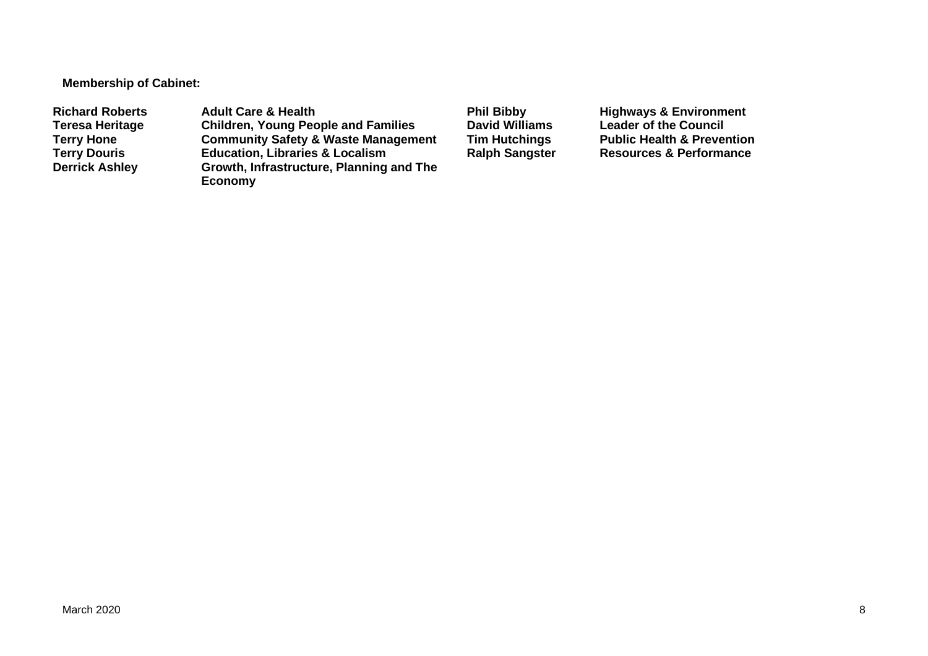**Membership of Cabinet:** 

Richard Roberts **Adult Care & Health** Phil Bibby Highways & Environment<br>
Teresa Heritage Children, Young People and Families David Williams Leader of the Council **Teresa Heritage Children, Young People and Families David Williams Leader of the Council Terry Hone Community Safety & Waste Management Tim Hutchings** Public Health & Prevention<br> **Terry Douris Education, Libraries & Localism** Ralph Sangster Resources & Performance **Terry Douris Education, Libraries & Localism <br>
Derrick Ashley <b>Sangle Browth, Infrastructure, Planning Growth, Infrastructure, Planning and The Economy**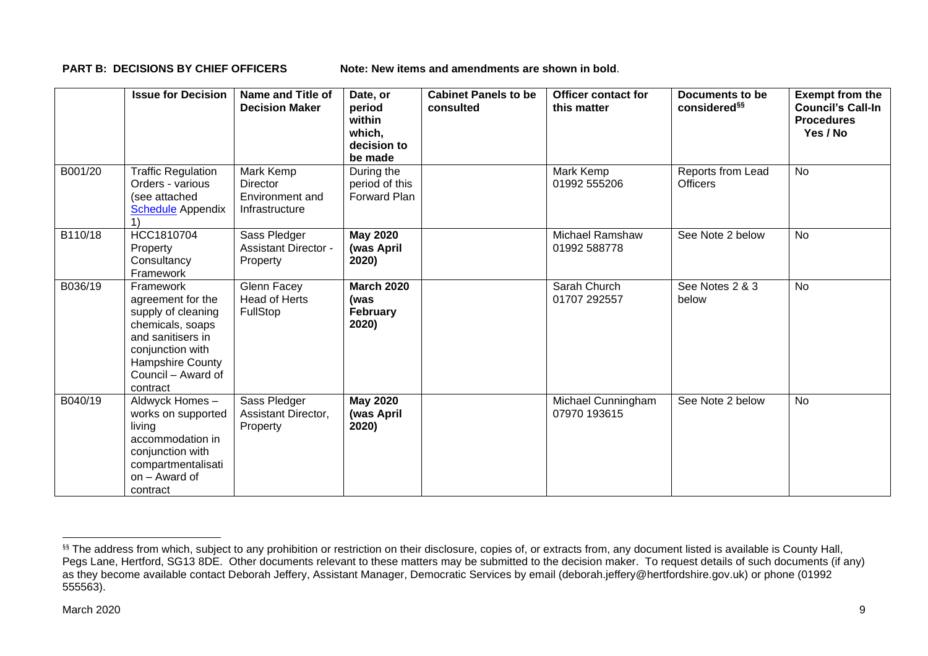**PART B: DECISIONS BY CHIEF OFFICERS** Note: New items and amendments are shown in bold.

|         | <b>Issue for Decision</b>                                                                                                                                               | Name and Title of<br><b>Decision Maker</b>                        | Date, or<br>period<br>within<br>which,<br>decision to<br>be made | <b>Cabinet Panels to be</b><br>consulted | <b>Officer contact for</b><br>this matter | Documents to be<br>considered <sup>§§</sup> | <b>Exempt from the</b><br><b>Council's Call-In</b><br><b>Procedures</b><br>Yes / No |
|---------|-------------------------------------------------------------------------------------------------------------------------------------------------------------------------|-------------------------------------------------------------------|------------------------------------------------------------------|------------------------------------------|-------------------------------------------|---------------------------------------------|-------------------------------------------------------------------------------------|
| B001/20 | <b>Traffic Regulation</b><br>Orders - various<br>(see attached<br><b>Schedule</b> Appendix                                                                              | Mark Kemp<br><b>Director</b><br>Environment and<br>Infrastructure | During the<br>period of this<br><b>Forward Plan</b>              |                                          | Mark Kemp<br>01992 555206                 | Reports from Lead<br><b>Officers</b>        | <b>No</b>                                                                           |
| B110/18 | HCC1810704<br>Property<br>Consultancy<br>Framework                                                                                                                      | Sass Pledger<br><b>Assistant Director -</b><br>Property           | <b>May 2020</b><br>(was April<br>2020)                           |                                          | <b>Michael Ramshaw</b><br>01992 588778    | See Note 2 below                            | No                                                                                  |
| B036/19 | Framework<br>agreement for the<br>supply of cleaning<br>chemicals, soaps<br>and sanitisers in<br>conjunction with<br>Hampshire County<br>Council – Award of<br>contract | Glenn Facey<br>Head of Herts<br>FullStop                          | <b>March 2020</b><br>(was<br>February<br>2020)                   |                                          | Sarah Church<br>01707 292557              | See Notes 2 & 3<br>below                    | <b>No</b>                                                                           |
| B040/19 | Aldwyck Homes-<br>works on supported<br>living<br>accommodation in<br>conjunction with<br>compartmentalisati<br>on - Award of<br>contract                               | Sass Pledger<br>Assistant Director,<br>Property                   | <b>May 2020</b><br>(was April<br>2020)                           |                                          | Michael Cunningham<br>07970 193615        | See Note 2 below                            | <b>No</b>                                                                           |

<sup>&</sup>lt;sup>§§</sup> The address from which, subject to any prohibition or restriction on their disclosure, copies of, or extracts from, any document listed is available is County Hall, Pegs Lane, Hertford, SG13 8DE. Other documents relevant to these matters may be submitted to the decision maker. To request details of such documents (if any) as they become available contact Deborah Jeffery, Assistant Manager, Democratic Services by email (deborah.jeffery@hertfordshire.gov.uk) or phone (01992 555563).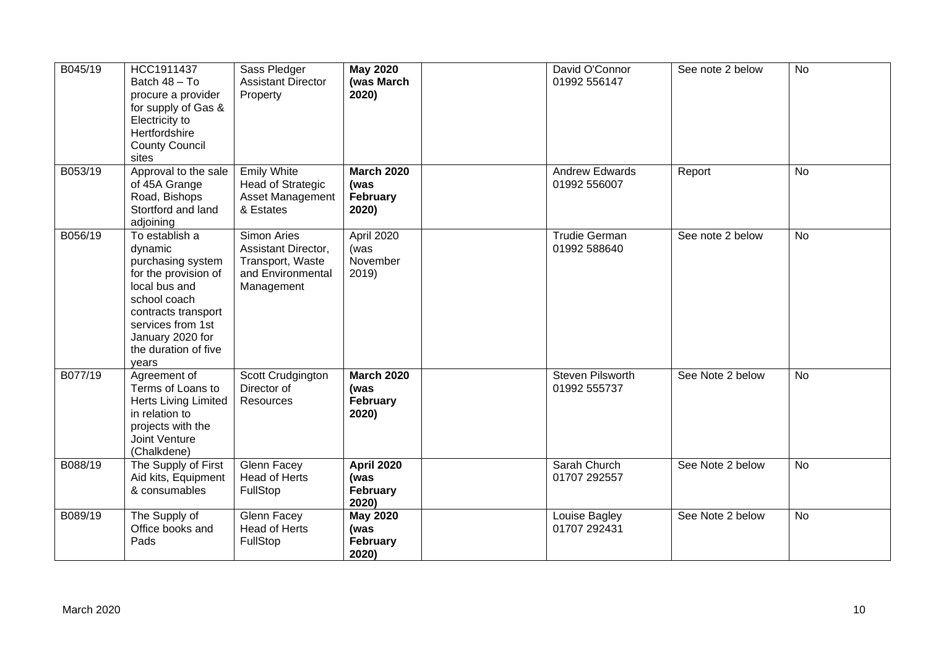| B045/19 | HCC1911437<br>Batch 48 - To<br>procure a provider<br>for supply of Gas &<br>Electricity to<br>Hertfordshire<br><b>County Council</b><br>sites                                                            | Sass Pledger<br><b>Assistant Director</b><br>Property                                     | <b>May 2020</b><br>(was March<br>2020)         | David O'Connor<br>01992 556147          | See note 2 below | <b>No</b> |
|---------|----------------------------------------------------------------------------------------------------------------------------------------------------------------------------------------------------------|-------------------------------------------------------------------------------------------|------------------------------------------------|-----------------------------------------|------------------|-----------|
| B053/19 | Approval to the sale<br>of 45A Grange<br>Road, Bishops<br>Stortford and land<br>adjoining                                                                                                                | <b>Emily White</b><br><b>Head of Strategic</b><br>Asset Management<br>& Estates           | <b>March 2020</b><br>(was<br>February<br>2020) | <b>Andrew Edwards</b><br>01992 556007   | Report           | <b>No</b> |
| B056/19 | To establish a<br>dynamic<br>purchasing system<br>for the provision of<br>local bus and<br>school coach<br>contracts transport<br>services from 1st<br>January 2020 for<br>the duration of five<br>years | Simon Aries<br>Assistant Director,<br>Transport, Waste<br>and Environmental<br>Management | April 2020<br>(was<br>November<br>2019)        | <b>Trudie German</b><br>01992 588640    | See note 2 below | <b>No</b> |
| B077/19 | Agreement of<br>Terms of Loans to<br><b>Herts Living Limited</b><br>in relation to<br>projects with the<br>Joint Venture<br>(Chalkdene)                                                                  | Scott Crudgington<br>Director of<br>Resources                                             | <b>March 2020</b><br>(was<br>February<br>2020) | <b>Steven Pilsworth</b><br>01992 555737 | See Note 2 below | <b>No</b> |
| B088/19 | The Supply of First<br>Aid kits, Equipment<br>& consumables                                                                                                                                              | Glenn Facey<br><b>Head of Herts</b><br>FullStop                                           | <b>April 2020</b><br>(was<br>February<br>2020) | Sarah Church<br>01707 292557            | See Note 2 below | <b>No</b> |
| B089/19 | The Supply of<br>Office books and<br>Pads                                                                                                                                                                | Glenn Facey<br><b>Head of Herts</b><br>FullStop                                           | <b>May 2020</b><br>(was<br>February<br>2020)   | Louise Bagley<br>01707 292431           | See Note 2 below | No        |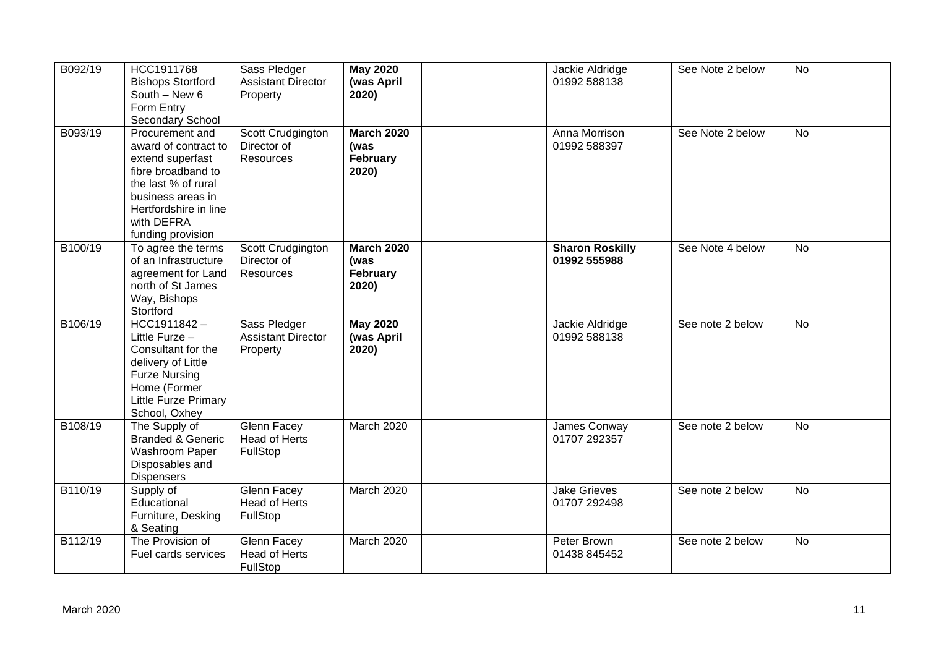| B092/19 | HCC1911768<br><b>Bishops Stortford</b><br>South - New 6<br>Form Entry<br>Secondary School                                                                                                 | Sass Pledger<br><b>Assistant Director</b><br>Property | <b>May 2020</b><br>(was April<br>2020)         | Jackie Aldridge<br>01992 588138        | See Note 2 below | <b>No</b> |
|---------|-------------------------------------------------------------------------------------------------------------------------------------------------------------------------------------------|-------------------------------------------------------|------------------------------------------------|----------------------------------------|------------------|-----------|
| B093/19 | Procurement and<br>award of contract to<br>extend superfast<br>fibre broadband to<br>the last % of rural<br>business areas in<br>Hertfordshire in line<br>with DEFRA<br>funding provision | Scott Crudgington<br>Director of<br>Resources         | <b>March 2020</b><br>(was<br>February<br>2020) | Anna Morrison<br>01992 588397          | See Note 2 below | <b>No</b> |
| B100/19 | To agree the terms<br>of an Infrastructure<br>agreement for Land<br>north of St James<br>Way, Bishops<br>Stortford                                                                        | Scott Crudgington<br>Director of<br>Resources         | <b>March 2020</b><br>(was<br>February<br>2020) | <b>Sharon Roskilly</b><br>01992 555988 | See Note 4 below | No        |
| B106/19 | $HCC1911842 -$<br>Little Furze -<br>Consultant for the<br>delivery of Little<br><b>Furze Nursing</b><br>Home (Former<br><b>Little Furze Primary</b><br>School, Oxhey                      | Sass Pledger<br><b>Assistant Director</b><br>Property | <b>May 2020</b><br>(was April<br>2020)         | Jackie Aldridge<br>01992 588138        | See note 2 below | <b>No</b> |
| B108/19 | The Supply of<br><b>Branded &amp; Generic</b><br>Washroom Paper<br>Disposables and<br><b>Dispensers</b>                                                                                   | Glenn Facey<br>Head of Herts<br>FullStop              | March 2020                                     | James Conway<br>01707 292357           | See note 2 below | <b>No</b> |
| B110/19 | Supply of<br>Educational<br>Furniture, Desking<br>& Seating                                                                                                                               | Glenn Facey<br><b>Head of Herts</b><br>FullStop       | March 2020                                     | <b>Jake Grieves</b><br>01707 292498    | See note 2 below | <b>No</b> |
| B112/19 | The Provision of<br>Fuel cards services                                                                                                                                                   | Glenn Facey<br>Head of Herts<br>FullStop              | March 2020                                     | Peter Brown<br>01438 845452            | See note 2 below | <b>No</b> |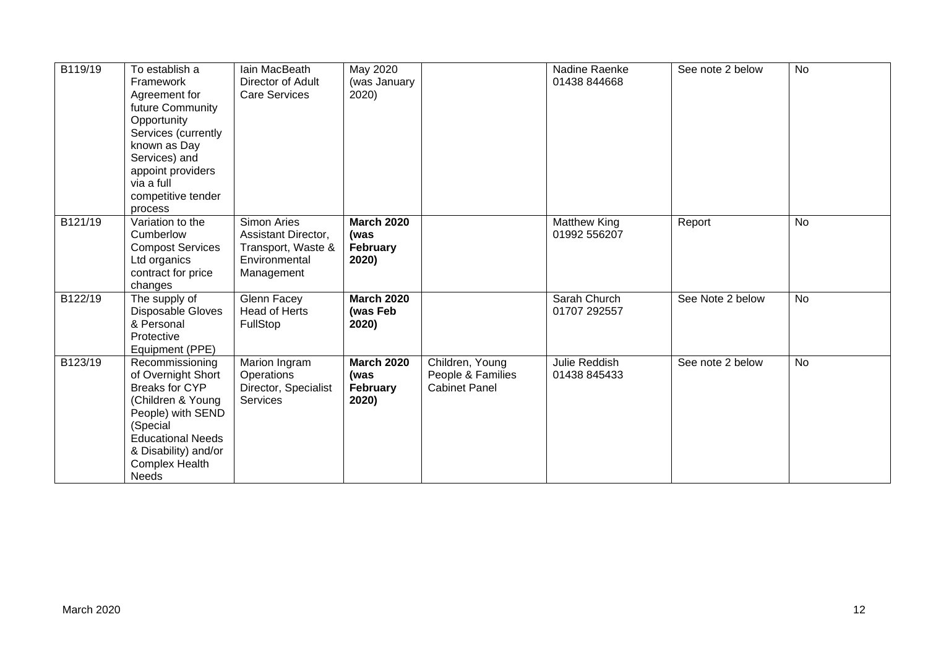| B119/19 | To establish a<br>Framework<br>Agreement for<br>future Community<br>Opportunity<br>Services (currently<br>known as Day<br>Services) and<br>appoint providers<br>via a full<br>competitive tender<br>process | Iain MacBeath<br>Director of Adult<br><b>Care Services</b>                              | May 2020<br>(was January<br>2020)              |                                                              | Nadine Raenke<br>01438 844668       | See note 2 below | No        |
|---------|-------------------------------------------------------------------------------------------------------------------------------------------------------------------------------------------------------------|-----------------------------------------------------------------------------------------|------------------------------------------------|--------------------------------------------------------------|-------------------------------------|------------------|-----------|
| B121/19 | Variation to the<br>Cumberlow<br><b>Compost Services</b><br>Ltd organics<br>contract for price<br>changes                                                                                                   | Simon Aries<br>Assistant Director,<br>Transport, Waste &<br>Environmental<br>Management | <b>March 2020</b><br>(was<br>February<br>2020) |                                                              | <b>Matthew King</b><br>01992 556207 | Report           | <b>No</b> |
| B122/19 | The supply of<br>Disposable Gloves<br>& Personal<br>Protective<br>Equipment (PPE)                                                                                                                           | Glenn Facey<br><b>Head of Herts</b><br>FullStop                                         | <b>March 2020</b><br>(was Feb<br>2020)         |                                                              | Sarah Church<br>01707 292557        | See Note 2 below | <b>No</b> |
| B123/19 | Recommissioning<br>of Overnight Short<br><b>Breaks for CYP</b><br>(Children & Young<br>People) with SEND<br>(Special<br><b>Educational Needs</b><br>& Disability) and/or<br><b>Complex Health</b><br>Needs  | Marion Ingram<br>Operations<br>Director, Specialist<br>Services                         | <b>March 2020</b><br>(was<br>February<br>2020) | Children, Young<br>People & Families<br><b>Cabinet Panel</b> | Julie Reddish<br>01438 845433       | See note 2 below | <b>No</b> |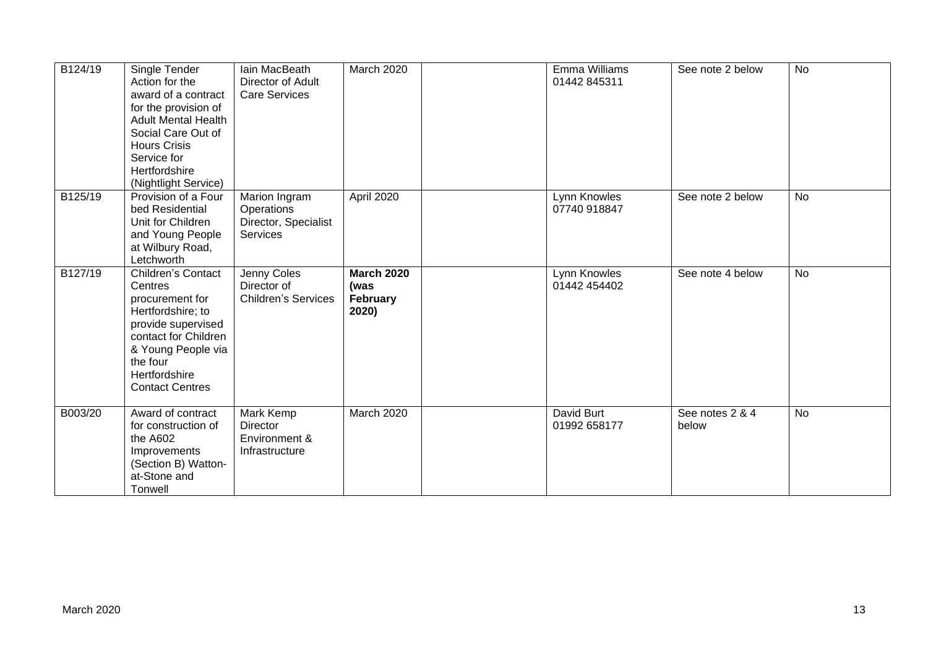| B124/19 | Single Tender<br>Action for the<br>award of a contract<br>for the provision of<br><b>Adult Mental Health</b><br>Social Care Out of<br><b>Hours Crisis</b><br>Service for<br>Hertfordshire<br>(Nightlight Service) | Iain MacBeath<br>Director of Adult<br><b>Care Services</b>             | March 2020                                     | Emma Williams<br>01442 845311 | See note 2 below         | <b>No</b> |
|---------|-------------------------------------------------------------------------------------------------------------------------------------------------------------------------------------------------------------------|------------------------------------------------------------------------|------------------------------------------------|-------------------------------|--------------------------|-----------|
| B125/19 | Provision of a Four<br>bed Residential<br>Unit for Children<br>and Young People<br>at Wilbury Road,<br>Letchworth                                                                                                 | Marion Ingram<br>Operations<br>Director, Specialist<br><b>Services</b> | April 2020                                     | Lynn Knowles<br>07740 918847  | See note 2 below         | <b>No</b> |
| B127/19 | <b>Children's Contact</b><br>Centres<br>procurement for<br>Hertfordshire; to<br>provide supervised<br>contact for Children<br>& Young People via<br>the four<br>Hertfordshire<br><b>Contact Centres</b>           | Jenny Coles<br>Director of<br><b>Children's Services</b>               | <b>March 2020</b><br>(was<br>February<br>2020) | Lynn Knowles<br>01442 454402  | See note 4 below         | <b>No</b> |
| B003/20 | Award of contract<br>for construction of<br>the A602<br>Improvements<br>(Section B) Watton-<br>at-Stone and<br>Tonwell                                                                                            | Mark Kemp<br><b>Director</b><br>Environment &<br>Infrastructure        | March 2020                                     | David Burt<br>01992 658177    | See notes 2 & 4<br>below | <b>No</b> |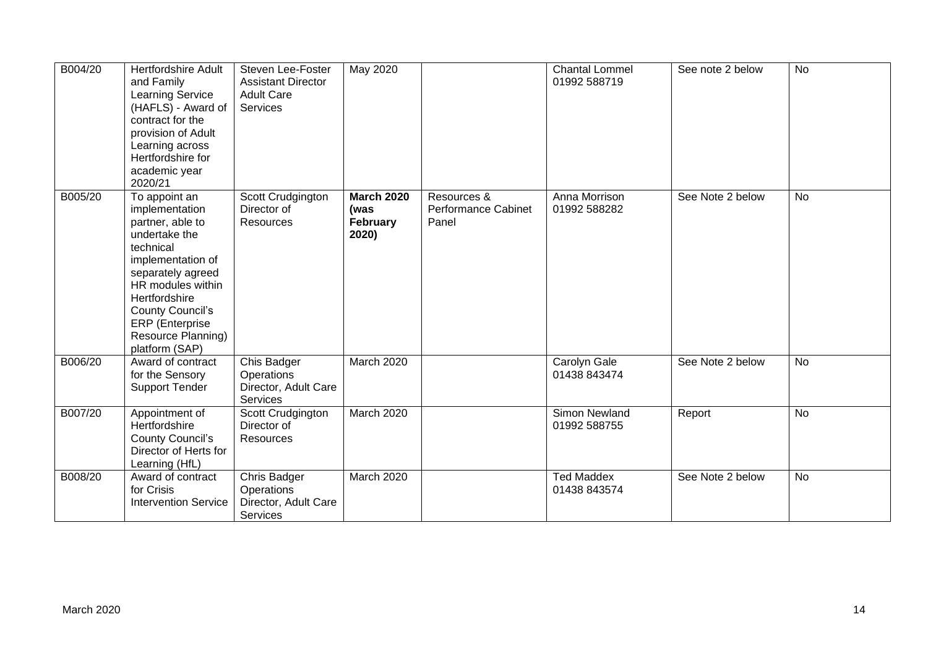| B004/20 | <b>Hertfordshire Adult</b><br>and Family<br><b>Learning Service</b><br>(HAFLS) - Award of<br>contract for the<br>provision of Adult<br>Learning across<br>Hertfordshire for<br>academic year<br>2020/21                                                        | Steven Lee-Foster<br><b>Assistant Director</b><br><b>Adult Care</b><br>Services | May 2020                                       |                                                    | <b>Chantal Lommel</b><br>01992 588719 | See note 2 below | <b>No</b> |
|---------|----------------------------------------------------------------------------------------------------------------------------------------------------------------------------------------------------------------------------------------------------------------|---------------------------------------------------------------------------------|------------------------------------------------|----------------------------------------------------|---------------------------------------|------------------|-----------|
| B005/20 | To appoint an<br>implementation<br>partner, able to<br>undertake the<br>technical<br>implementation of<br>separately agreed<br>HR modules within<br>Hertfordshire<br><b>County Council's</b><br><b>ERP</b> (Enterprise<br>Resource Planning)<br>platform (SAP) | Scott Crudgington<br>Director of<br><b>Resources</b>                            | <b>March 2020</b><br>(was<br>February<br>2020) | Resources &<br><b>Performance Cabinet</b><br>Panel | Anna Morrison<br>01992 588282         | See Note 2 below | <b>No</b> |
| B006/20 | Award of contract<br>for the Sensory<br><b>Support Tender</b>                                                                                                                                                                                                  | Chis Badger<br>Operations<br>Director, Adult Care<br>Services                   | March 2020                                     |                                                    | Carolyn Gale<br>01438 843474          | See Note 2 below | No        |
| B007/20 | Appointment of<br>Hertfordshire<br><b>County Council's</b><br>Director of Herts for<br>Learning (HfL)                                                                                                                                                          | Scott Crudgington<br>Director of<br>Resources                                   | March 2020                                     |                                                    | Simon Newland<br>01992 588755         | Report           | <b>No</b> |
| B008/20 | Award of contract<br>for Crisis<br><b>Intervention Service</b>                                                                                                                                                                                                 | Chris Badger<br>Operations<br>Director, Adult Care<br>Services                  | <b>March 2020</b>                              |                                                    | <b>Ted Maddex</b><br>01438 843574     | See Note 2 below | <b>No</b> |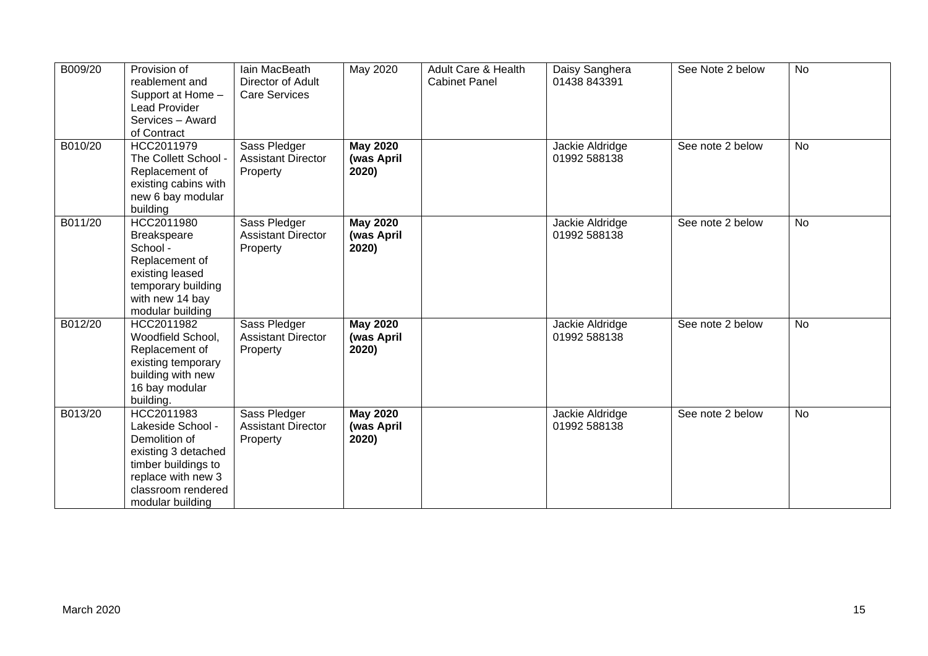| B009/20 | Provision of<br>reablement and<br>Support at Home -<br><b>Lead Provider</b><br>Services - Award<br>of Contract                                                 | Iain MacBeath<br>Director of Adult<br><b>Care Services</b> | May 2020                               | Adult Care & Health<br><b>Cabinet Panel</b> | Daisy Sanghera<br>01438 843391  | See Note 2 below | <b>No</b> |
|---------|----------------------------------------------------------------------------------------------------------------------------------------------------------------|------------------------------------------------------------|----------------------------------------|---------------------------------------------|---------------------------------|------------------|-----------|
| B010/20 | HCC2011979<br>The Collett School -<br>Replacement of<br>existing cabins with<br>new 6 bay modular<br>building                                                  | Sass Pledger<br><b>Assistant Director</b><br>Property      | <b>May 2020</b><br>(was April<br>2020) |                                             | Jackie Aldridge<br>01992 588138 | See note 2 below | No        |
| B011/20 | HCC2011980<br><b>Breakspeare</b><br>School -<br>Replacement of<br>existing leased<br>temporary building<br>with new 14 bay<br>modular building                 | Sass Pledger<br><b>Assistant Director</b><br>Property      | <b>May 2020</b><br>(was April<br>2020) |                                             | Jackie Aldridge<br>01992 588138 | See note 2 below | No        |
| B012/20 | HCC2011982<br>Woodfield School,<br>Replacement of<br>existing temporary<br>building with new<br>16 bay modular<br>building.                                    | Sass Pledger<br><b>Assistant Director</b><br>Property      | <b>May 2020</b><br>(was April<br>2020) |                                             | Jackie Aldridge<br>01992 588138 | See note 2 below | No        |
| B013/20 | HCC2011983<br>Lakeside School -<br>Demolition of<br>existing 3 detached<br>timber buildings to<br>replace with new 3<br>classroom rendered<br>modular building | Sass Pledger<br><b>Assistant Director</b><br>Property      | <b>May 2020</b><br>(was April<br>2020) |                                             | Jackie Aldridge<br>01992 588138 | See note 2 below | <b>No</b> |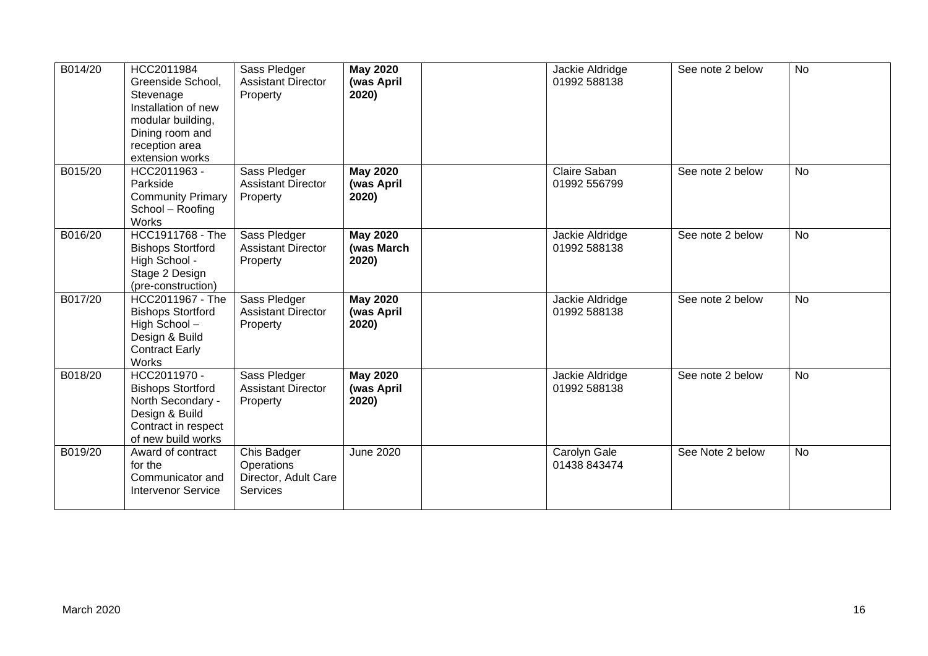| B014/20 | HCC2011984<br>Greenside School,<br>Stevenage<br>Installation of new<br>modular building,<br>Dining room and<br>reception area<br>extension works | Sass Pledger<br><b>Assistant Director</b><br>Property         | <b>May 2020</b><br>(was April<br>2020) | Jackie Aldridge<br>01992 588138 | See note 2 below | <b>No</b> |
|---------|--------------------------------------------------------------------------------------------------------------------------------------------------|---------------------------------------------------------------|----------------------------------------|---------------------------------|------------------|-----------|
| B015/20 | HCC2011963 -<br>Parkside<br><b>Community Primary</b><br>School - Roofing<br>Works                                                                | Sass Pledger<br><b>Assistant Director</b><br>Property         | <b>May 2020</b><br>(was April<br>2020) | Claire Saban<br>01992 556799    | See note 2 below | <b>No</b> |
| B016/20 | HCC1911768 - The<br><b>Bishops Stortford</b><br>High School -<br>Stage 2 Design<br>(pre-construction)                                            | Sass Pledger<br><b>Assistant Director</b><br>Property         | <b>May 2020</b><br>(was March<br>2020) | Jackie Aldridge<br>01992 588138 | See note 2 below | No        |
| B017/20 | HCC2011967 - The<br><b>Bishops Stortford</b><br>High School-<br>Design & Build<br><b>Contract Early</b><br>Works                                 | Sass Pledger<br><b>Assistant Director</b><br>Property         | <b>May 2020</b><br>(was April<br>2020) | Jackie Aldridge<br>01992 588138 | See note 2 below | <b>No</b> |
| B018/20 | HCC2011970 -<br><b>Bishops Stortford</b><br>North Secondary -<br>Design & Build<br>Contract in respect<br>of new build works                     | Sass Pledger<br><b>Assistant Director</b><br>Property         | <b>May 2020</b><br>(was April<br>2020) | Jackie Aldridge<br>01992 588138 | See note 2 below | No        |
| B019/20 | Award of contract<br>for the<br>Communicator and<br><b>Intervenor Service</b>                                                                    | Chis Badger<br>Operations<br>Director, Adult Care<br>Services | June 2020                              | Carolyn Gale<br>01438 843474    | See Note 2 below | <b>No</b> |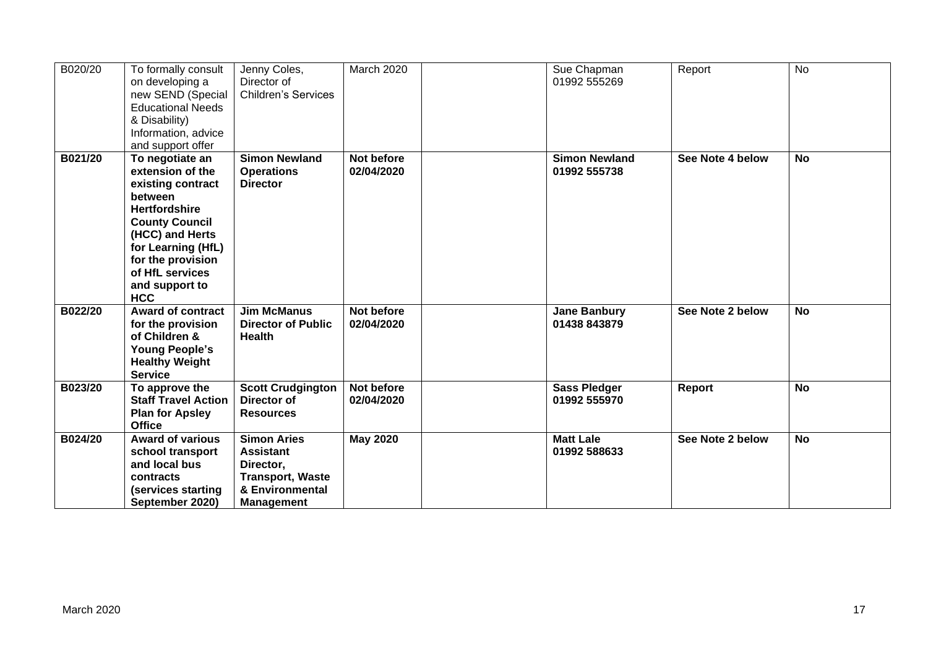| B020/20 | To formally consult<br>on developing a<br>new SEND (Special<br><b>Educational Needs</b><br>& Disability)<br>Information, advice<br>and support offer                                                                                  | Jenny Coles,<br>Director of<br><b>Children's Services</b>                                                              | March 2020               | Sue Chapman<br>01992 555269          | Report           | <b>No</b> |
|---------|---------------------------------------------------------------------------------------------------------------------------------------------------------------------------------------------------------------------------------------|------------------------------------------------------------------------------------------------------------------------|--------------------------|--------------------------------------|------------------|-----------|
| B021/20 | To negotiate an<br>extension of the<br>existing contract<br>between<br><b>Hertfordshire</b><br><b>County Council</b><br>(HCC) and Herts<br>for Learning (HfL)<br>for the provision<br>of HfL services<br>and support to<br><b>HCC</b> | <b>Simon Newland</b><br><b>Operations</b><br><b>Director</b>                                                           | Not before<br>02/04/2020 | <b>Simon Newland</b><br>01992 555738 | See Note 4 below | <b>No</b> |
| B022/20 | <b>Award of contract</b><br>for the provision<br>of Children &<br><b>Young People's</b><br><b>Healthy Weight</b><br><b>Service</b>                                                                                                    | <b>Jim McManus</b><br><b>Director of Public</b><br><b>Health</b>                                                       | Not before<br>02/04/2020 | <b>Jane Banbury</b><br>01438 843879  | See Note 2 below | <b>No</b> |
| B023/20 | To approve the<br><b>Staff Travel Action</b><br><b>Plan for Apsley</b><br><b>Office</b>                                                                                                                                               | <b>Scott Crudgington</b><br>Director of<br><b>Resources</b>                                                            | Not before<br>02/04/2020 | <b>Sass Pledger</b><br>01992 555970  | <b>Report</b>    | <b>No</b> |
| B024/20 | <b>Award of various</b><br>school transport<br>and local bus<br>contracts<br>(services starting<br>September 2020)                                                                                                                    | <b>Simon Aries</b><br><b>Assistant</b><br>Director,<br><b>Transport, Waste</b><br>& Environmental<br><b>Management</b> | <b>May 2020</b>          | <b>Matt Lale</b><br>01992 588633     | See Note 2 below | <b>No</b> |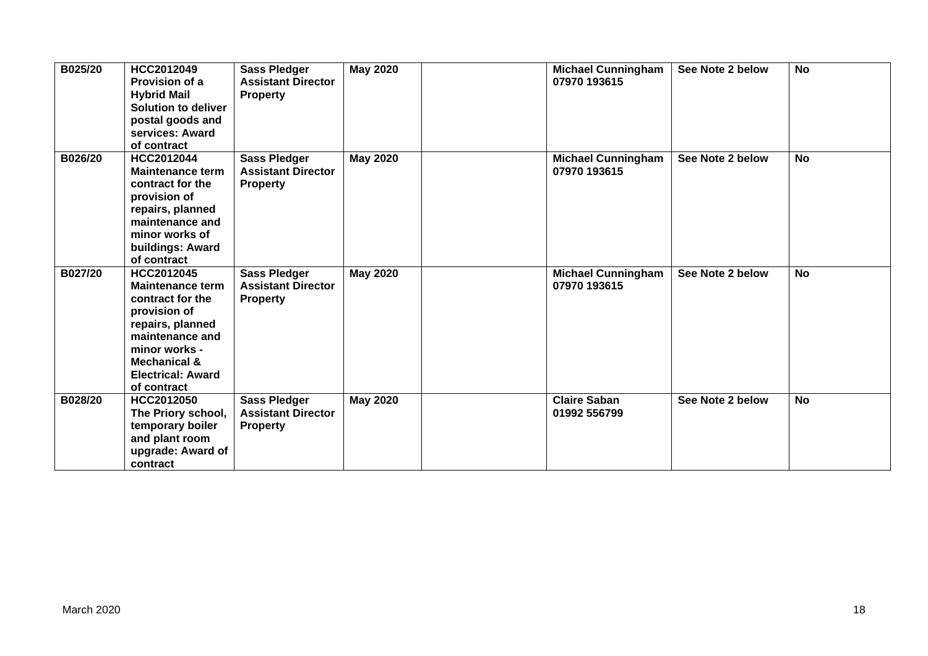| B025/20 | HCC2012049<br>Provision of a<br><b>Hybrid Mail</b><br><b>Solution to deliver</b><br>postal goods and<br>services: Award<br>of contract                                                                  | <b>Sass Pledger</b><br><b>Assistant Director</b><br><b>Property</b> | <b>May 2020</b> | <b>Michael Cunningham</b><br>07970 193615 | See Note 2 below | <b>No</b> |
|---------|---------------------------------------------------------------------------------------------------------------------------------------------------------------------------------------------------------|---------------------------------------------------------------------|-----------------|-------------------------------------------|------------------|-----------|
| B026/20 | HCC2012044<br><b>Maintenance term</b><br>contract for the<br>provision of<br>repairs, planned<br>maintenance and<br>minor works of<br>buildings: Award<br>of contract                                   | <b>Sass Pledger</b><br><b>Assistant Director</b><br><b>Property</b> | <b>May 2020</b> | <b>Michael Cunningham</b><br>07970 193615 | See Note 2 below | <b>No</b> |
| B027/20 | HCC2012045<br><b>Maintenance term</b><br>contract for the<br>provision of<br>repairs, planned<br>maintenance and<br>minor works -<br><b>Mechanical &amp;</b><br><b>Electrical: Award</b><br>of contract | <b>Sass Pledger</b><br><b>Assistant Director</b><br><b>Property</b> | <b>May 2020</b> | <b>Michael Cunningham</b><br>07970 193615 | See Note 2 below | <b>No</b> |
| B028/20 | HCC2012050<br>The Priory school,<br>temporary boiler<br>and plant room<br>upgrade: Award of<br>contract                                                                                                 | <b>Sass Pledger</b><br><b>Assistant Director</b><br><b>Property</b> | <b>May 2020</b> | <b>Claire Saban</b><br>01992 556799       | See Note 2 below | <b>No</b> |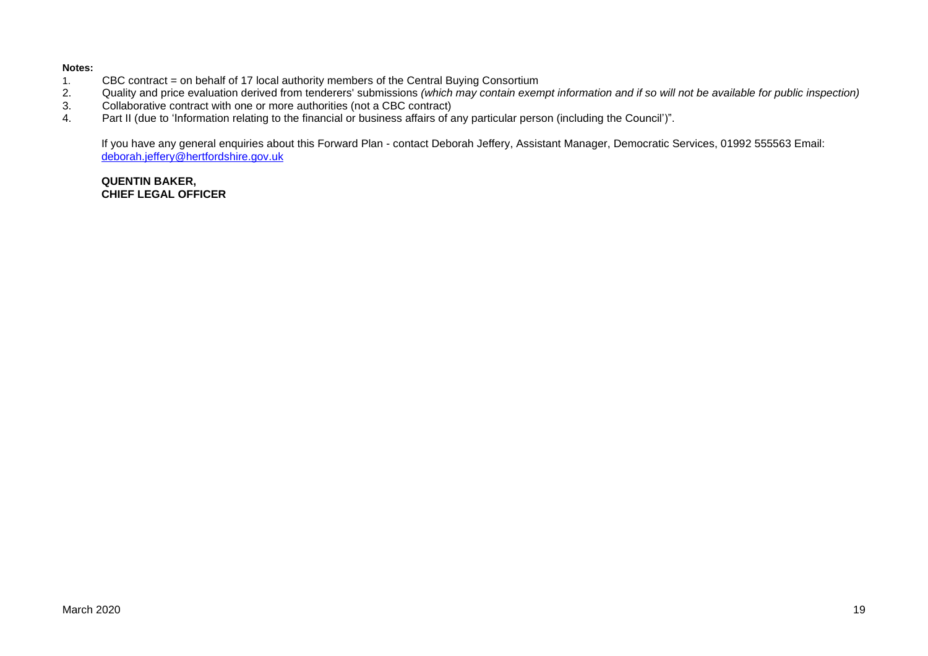#### **Notes:**

- 1. CBC contract = on behalf of 17 local authority members of the Central Buying Consortium<br>2. Quality and price evaluation derived from tenderers' submissions (which may contain exen
- 2. Quality and price evaluation derived from tenderers' submissions *(which may contain exempt information and if so will not be available for public inspection)*
- 3. Collaborative contract with one or more authorities (not a CBC contract)<br>4. Part II (due to 'Information relating to the financial or business affairs of a
- Part II (due to 'Information relating to the financial or business affairs of any particular person (including the Council')".

If you have any general enquiries about this Forward Plan - contact Deborah Jeffery, Assistant Manager, Democratic Services, 01992 555563 Email: [deborah.jeffery@hertfordshire.gov.uk](mailto:deborah.jeffery@hertfordshire.gov.uk) 

#### **QUENTIN BAKER, CHIEF LEGAL OFFICER**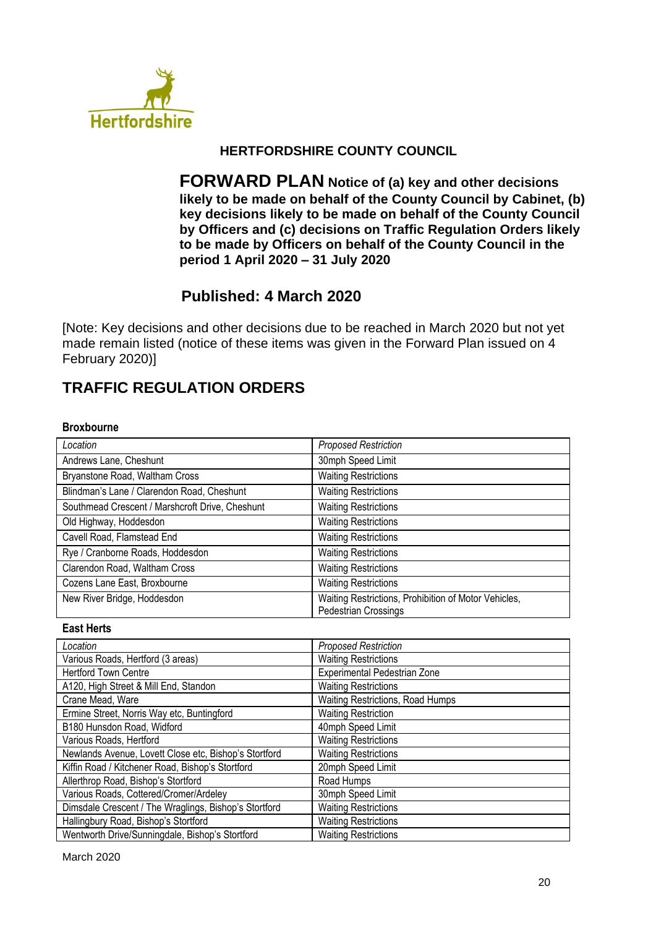

# **HERTFORDSHIRE COUNTY COUNCIL**

**FORWARD PLAN Notice of (a) key and other decisions likely to be made on behalf of the County Council by Cabinet, (b) key decisions likely to be made on behalf of the County Council by Officers and (c) decisions on Traffic Regulation Orders likely to be made by Officers on behalf of the County Council in the period 1 April 2020 – 31 July 2020**

# **Published: 4 March 2020**

[Note: Key decisions and other decisions due to be reached in March 2020 but not yet made remain listed (notice of these items was given in the Forward Plan issued on 4 February 2020)]

# **TRAFFIC REGULATION ORDERS**

#### **Broxbourne**

| Location                                        | <b>Proposed Restriction</b>                                                  |
|-------------------------------------------------|------------------------------------------------------------------------------|
| Andrews Lane, Cheshunt                          | 30mph Speed Limit                                                            |
| Bryanstone Road, Waltham Cross                  | <b>Waiting Restrictions</b>                                                  |
| Blindman's Lane / Clarendon Road, Cheshunt      | <b>Waiting Restrictions</b>                                                  |
| Southmead Crescent / Marshcroft Drive, Cheshunt | <b>Waiting Restrictions</b>                                                  |
| Old Highway, Hoddesdon                          | <b>Waiting Restrictions</b>                                                  |
| Cavell Road, Flamstead End                      | <b>Waiting Restrictions</b>                                                  |
| Rye / Cranborne Roads, Hoddesdon                | <b>Waiting Restrictions</b>                                                  |
| Clarendon Road, Waltham Cross                   | <b>Waiting Restrictions</b>                                                  |
| Cozens Lane East, Broxbourne                    | <b>Waiting Restrictions</b>                                                  |
| New River Bridge, Hoddesdon                     | Waiting Restrictions, Prohibition of Motor Vehicles,<br>Pedestrian Crossings |

#### **East Herts**

| Location                                              | <b>Proposed Restriction</b>      |
|-------------------------------------------------------|----------------------------------|
| Various Roads, Hertford (3 areas)                     | <b>Waiting Restrictions</b>      |
| <b>Hertford Town Centre</b>                           | Experimental Pedestrian Zone     |
| A120, High Street & Mill End, Standon                 | <b>Waiting Restrictions</b>      |
| Crane Mead, Ware                                      | Waiting Restrictions, Road Humps |
| Ermine Street, Norris Way etc, Buntingford            | <b>Waiting Restriction</b>       |
| B180 Hunsdon Road, Widford                            | 40mph Speed Limit                |
| Various Roads, Hertford                               | <b>Waiting Restrictions</b>      |
| Newlands Avenue, Lovett Close etc, Bishop's Stortford | <b>Waiting Restrictions</b>      |
| Kiffin Road / Kitchener Road, Bishop's Stortford      | 20mph Speed Limit                |
| Allerthrop Road, Bishop's Stortford                   | Road Humps                       |
| Various Roads, Cottered/Cromer/Ardeley                | 30mph Speed Limit                |
| Dimsdale Crescent / The Wraglings, Bishop's Stortford | <b>Waiting Restrictions</b>      |
| Hallingbury Road, Bishop's Stortford                  | <b>Waiting Restrictions</b>      |
| Wentworth Drive/Sunningdale, Bishop's Stortford       | <b>Waiting Restrictions</b>      |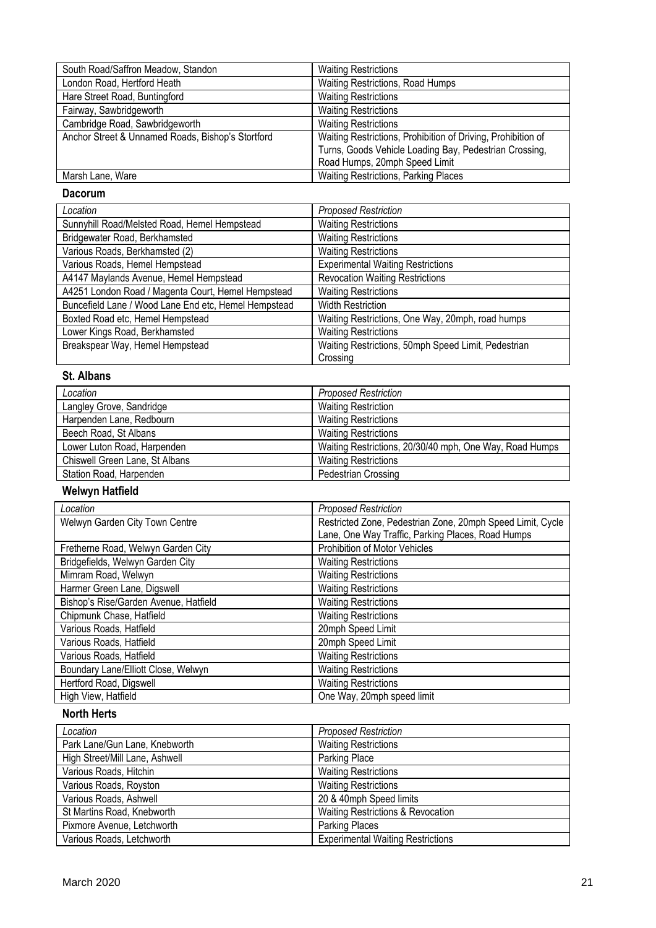| South Road/Saffron Meadow, Standon                | <b>Waiting Restrictions</b>                                  |
|---------------------------------------------------|--------------------------------------------------------------|
| London Road, Hertford Heath                       | Waiting Restrictions, Road Humps                             |
| Hare Street Road, Buntingford                     | <b>Waiting Restrictions</b>                                  |
| Fairway, Sawbridgeworth                           | <b>Waiting Restrictions</b>                                  |
| Cambridge Road, Sawbridgeworth                    | <b>Waiting Restrictions</b>                                  |
| Anchor Street & Unnamed Roads, Bishop's Stortford | Waiting Restrictions, Prohibition of Driving, Prohibition of |
|                                                   | Turns, Goods Vehicle Loading Bay, Pedestrian Crossing,       |
|                                                   | Road Humps, 20mph Speed Limit                                |
| Marsh Lane, Ware                                  | Waiting Restrictions, Parking Places                         |

### **Dacorum**

| Location                                             | <b>Proposed Restriction</b>                         |
|------------------------------------------------------|-----------------------------------------------------|
| Sunnyhill Road/Melsted Road, Hemel Hempstead         | <b>Waiting Restrictions</b>                         |
| Bridgewater Road, Berkhamsted                        | <b>Waiting Restrictions</b>                         |
| Various Roads, Berkhamsted (2)                       | <b>Waiting Restrictions</b>                         |
| Various Roads, Hemel Hempstead                       | <b>Experimental Waiting Restrictions</b>            |
| A4147 Maylands Avenue, Hemel Hempstead               | <b>Revocation Waiting Restrictions</b>              |
| A4251 London Road / Magenta Court, Hemel Hempstead   | <b>Waiting Restrictions</b>                         |
| Buncefield Lane / Wood Lane End etc, Hemel Hempstead | <b>Width Restriction</b>                            |
| Boxted Road etc, Hemel Hempstead                     | Waiting Restrictions, One Way, 20mph, road humps    |
| Lower Kings Road, Berkhamsted                        | <b>Waiting Restrictions</b>                         |
| Breakspear Way, Hemel Hempstead                      | Waiting Restrictions, 50mph Speed Limit, Pedestrian |
|                                                      | Crossing                                            |

## **St. Albans**

| Location                       | <b>Proposed Restriction</b>                             |
|--------------------------------|---------------------------------------------------------|
| Langley Grove, Sandridge       | <b>Waiting Restriction</b>                              |
| Harpenden Lane, Redbourn       | <b>Waiting Restrictions</b>                             |
| Beech Road, St Albans          | <b>Waiting Restrictions</b>                             |
| Lower Luton Road, Harpenden    | Waiting Restrictions, 20/30/40 mph, One Way, Road Humps |
| Chiswell Green Lane, St Albans | <b>Waiting Restrictions</b>                             |
| Station Road, Harpenden        | Pedestrian Crossing                                     |

# **Welwyn Hatfield**

| Location                              | <b>Proposed Restriction</b>                                |
|---------------------------------------|------------------------------------------------------------|
| Welwyn Garden City Town Centre        | Restricted Zone, Pedestrian Zone, 20mph Speed Limit, Cycle |
|                                       | Lane, One Way Traffic, Parking Places, Road Humps          |
| Fretherne Road, Welwyn Garden City    | Prohibition of Motor Vehicles                              |
| Bridgefields, Welwyn Garden City      | <b>Waiting Restrictions</b>                                |
| Mimram Road, Welwyn                   | <b>Waiting Restrictions</b>                                |
| Harmer Green Lane, Digswell           | <b>Waiting Restrictions</b>                                |
| Bishop's Rise/Garden Avenue, Hatfield | <b>Waiting Restrictions</b>                                |
| Chipmunk Chase, Hatfield              | <b>Waiting Restrictions</b>                                |
| Various Roads, Hatfield               | 20mph Speed Limit                                          |
| Various Roads, Hatfield               | 20mph Speed Limit                                          |
| Various Roads, Hatfield               | <b>Waiting Restrictions</b>                                |
| Boundary Lane/Elliott Close, Welwyn   | <b>Waiting Restrictions</b>                                |
| Hertford Road, Digswell               | <b>Waiting Restrictions</b>                                |
| High View, Hatfield                   | One Way, 20mph speed limit                                 |

# **North Herts**

| Location                       | <b>Proposed Restriction</b>              |
|--------------------------------|------------------------------------------|
| Park Lane/Gun Lane, Knebworth  | <b>Waiting Restrictions</b>              |
| High Street/Mill Lane, Ashwell | Parking Place                            |
| Various Roads, Hitchin         | <b>Waiting Restrictions</b>              |
| Various Roads, Royston         | <b>Waiting Restrictions</b>              |
| Various Roads, Ashwell         | 20 & 40mph Speed limits                  |
| St Martins Road, Knebworth     | Waiting Restrictions & Revocation        |
| Pixmore Avenue, Letchworth     | <b>Parking Places</b>                    |
| Various Roads, Letchworth      | <b>Experimental Waiting Restrictions</b> |